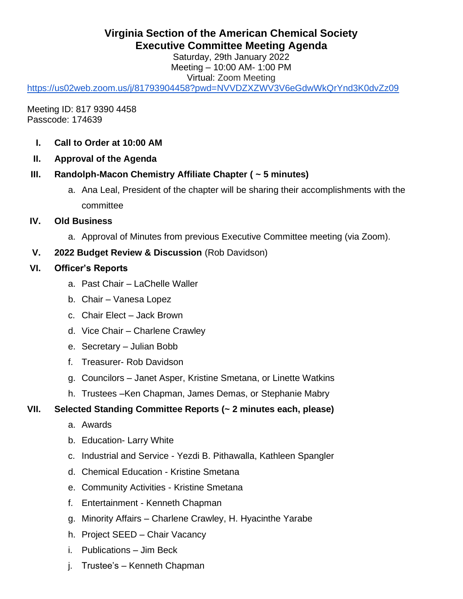# **Virginia Section of the American Chemical Society Executive Committee Meeting Agenda**

Saturday, 29th January 2022 Meeting – 10:00 AM- 1:00 PM Virtual: Zoom Meeting

<https://us02web.zoom.us/j/81793904458?pwd=NVVDZXZWV3V6eGdwWkQrYnd3K0dvZz09>

Meeting ID: 817 9390 4458 Passcode: 174639

- **I. Call to Order at 10:00 AM**
- **II. Approval of the Agenda**

### **III. Randolph-Macon Chemistry Affiliate Chapter ( ~ 5 minutes)**

- a. Ana Leal, President of the chapter will be sharing their accomplishments with the committee
- **IV. Old Business**
	- a. Approval of Minutes from previous Executive Committee meeting (via Zoom).

### **V. 2022 Budget Review & Discussion** (Rob Davidson)

### **VI. Officer's Reports**

- a. Past Chair LaChelle Waller
- b. Chair Vanesa Lopez
- c. Chair Elect Jack Brown
- d. Vice Chair Charlene Crawley
- e. Secretary Julian Bobb
- f. Treasurer- Rob Davidson
- g. Councilors Janet Asper, Kristine Smetana, or Linette Watkins
- h. Trustees –Ken Chapman, James Demas, or Stephanie Mabry

### **VII. Selected Standing Committee Reports (~ 2 minutes each, please)**

- a. Awards
- b. Education- Larry White
- c. Industrial and Service Yezdi B. Pithawalla, Kathleen Spangler
- d. Chemical Education Kristine Smetana
- e. Community Activities Kristine Smetana
- f. Entertainment Kenneth Chapman
- g. Minority Affairs Charlene Crawley, H. Hyacinthe Yarabe
- h. Project SEED Chair Vacancy
- i. Publications Jim Beck
- j. Trustee's Kenneth Chapman